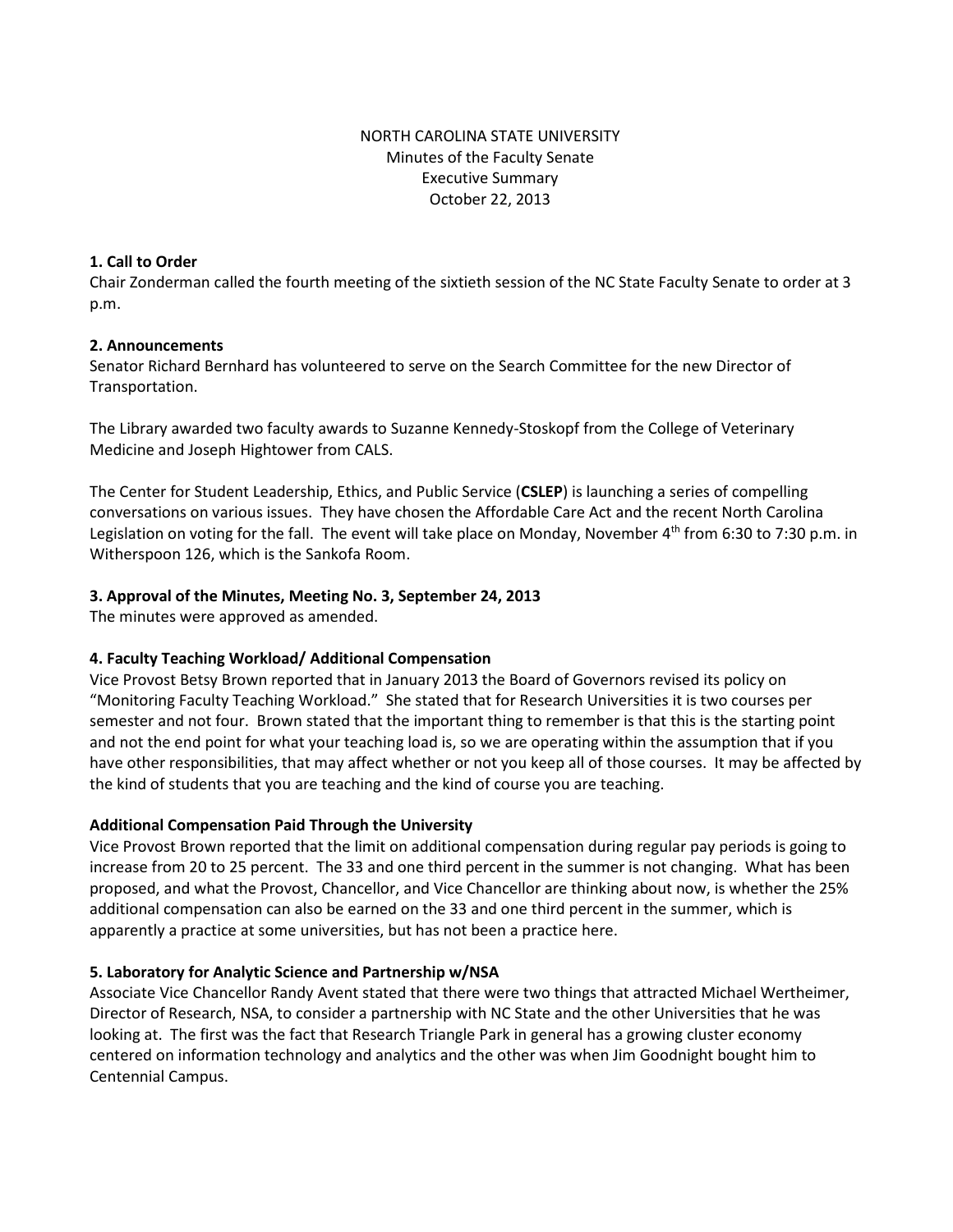# NORTH CAROLINA STATE UNIVERSITY Minutes of the Faculty Senate Executive Summary October 22, 2013

## **1. Call to Order**

Chair Zonderman called the fourth meeting of the sixtieth session of the NC State Faculty Senate to order at 3 p.m.

## **2. Announcements**

Senator Richard Bernhard has volunteered to serve on the Search Committee for the new Director of Transportation.

The Library awarded two faculty awards to Suzanne Kennedy-Stoskopf from the College of Veterinary Medicine and Joseph Hightower from CALS.

The Center for Student Leadership, Ethics, and Public Service (**CSLEP**) is launching a series of compelling conversations on various issues. They have chosen the Affordable Care Act and the recent North Carolina Legislation on voting for the fall. The event will take place on Monday, November 4<sup>th</sup> from 6:30 to 7:30 p.m. in Witherspoon 126, which is the Sankofa Room.

# **3. Approval of the Minutes, Meeting No. 3, September 24, 2013**

The minutes were approved as amended.

## **4. Faculty Teaching Workload/ Additional Compensation**

Vice Provost Betsy Brown reported that in January 2013 the Board of Governors revised its policy on "Monitoring Faculty Teaching Workload." She stated that for Research Universities it is two courses per semester and not four. Brown stated that the important thing to remember is that this is the starting point and not the end point for what your teaching load is, so we are operating within the assumption that if you have other responsibilities, that may affect whether or not you keep all of those courses. It may be affected by the kind of students that you are teaching and the kind of course you are teaching.

## **Additional Compensation Paid Through the University**

Vice Provost Brown reported that the limit on additional compensation during regular pay periods is going to increase from 20 to 25 percent. The 33 and one third percent in the summer is not changing. What has been proposed, and what the Provost, Chancellor, and Vice Chancellor are thinking about now, is whether the 25% additional compensation can also be earned on the 33 and one third percent in the summer, which is apparently a practice at some universities, but has not been a practice here.

## **5. Laboratory for Analytic Science and Partnership w/NSA**

Associate Vice Chancellor Randy Avent stated that there were two things that attracted Michael Wertheimer, Director of Research, NSA, to consider a partnership with NC State and the other Universities that he was looking at. The first was the fact that Research Triangle Park in general has a growing cluster economy centered on information technology and analytics and the other was when Jim Goodnight bought him to Centennial Campus.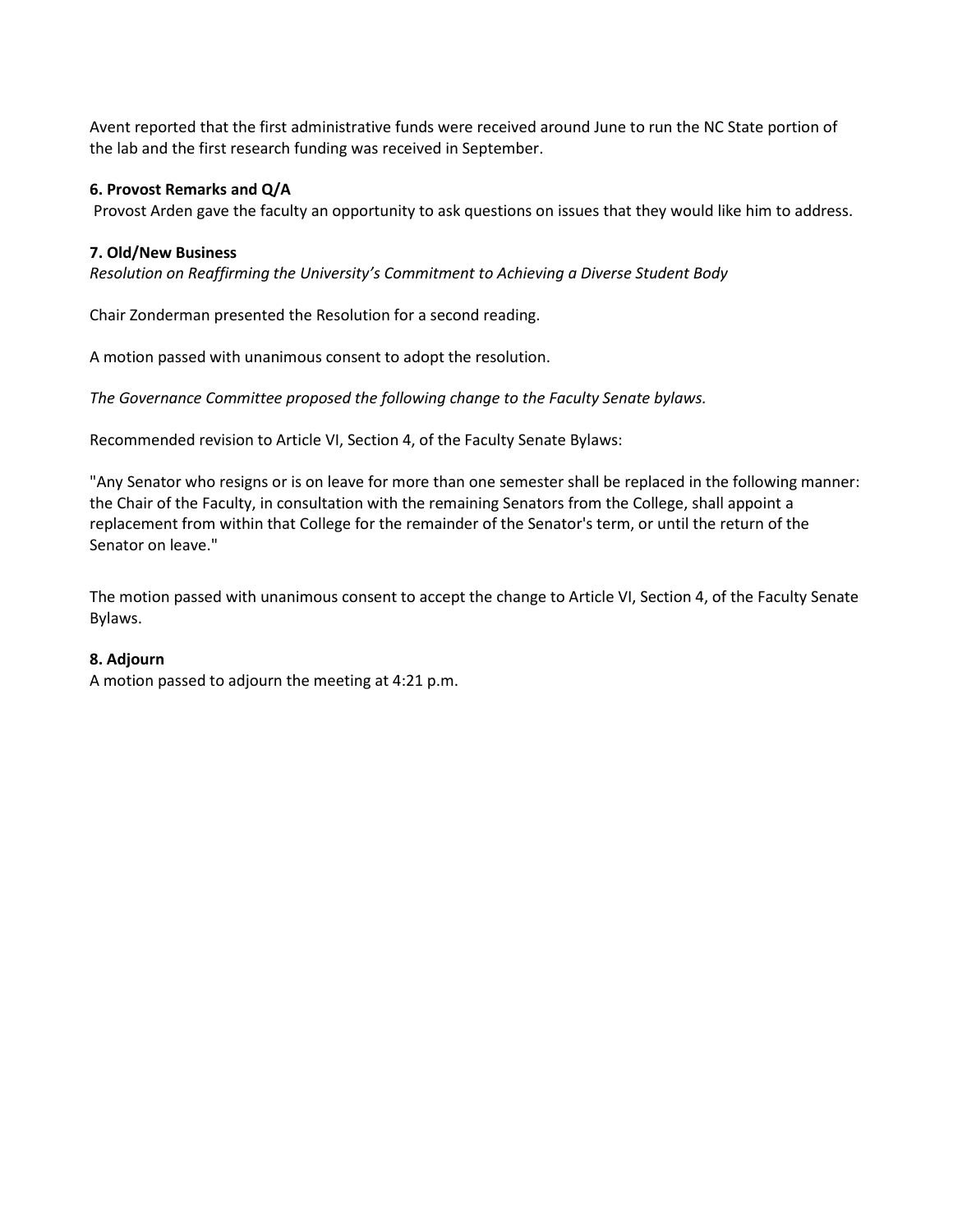Avent reported that the first administrative funds were received around June to run the NC State portion of the lab and the first research funding was received in September.

## **6. Provost Remarks and Q/A**

Provost Arden gave the faculty an opportunity to ask questions on issues that they would like him to address.

### **7. Old/New Business**

*Resolution on Reaffirming the University's Commitment to Achieving a Diverse Student Body*

Chair Zonderman presented the Resolution for a second reading.

A motion passed with unanimous consent to adopt the resolution.

*The Governance Committee proposed the following change to the Faculty Senate bylaws.* 

Recommended revision to Article VI, Section 4, of the Faculty Senate Bylaws:

"Any Senator who resigns or is on leave for more than one semester shall be replaced in the following manner: the Chair of the Faculty, in consultation with the remaining Senators from the College, shall appoint a replacement from within that College for the remainder of the Senator's term, or until the return of the Senator on leave."

The motion passed with unanimous consent to accept the change to Article VI, Section 4, of the Faculty Senate Bylaws.

## **8. Adjourn**

A motion passed to adjourn the meeting at 4:21 p.m.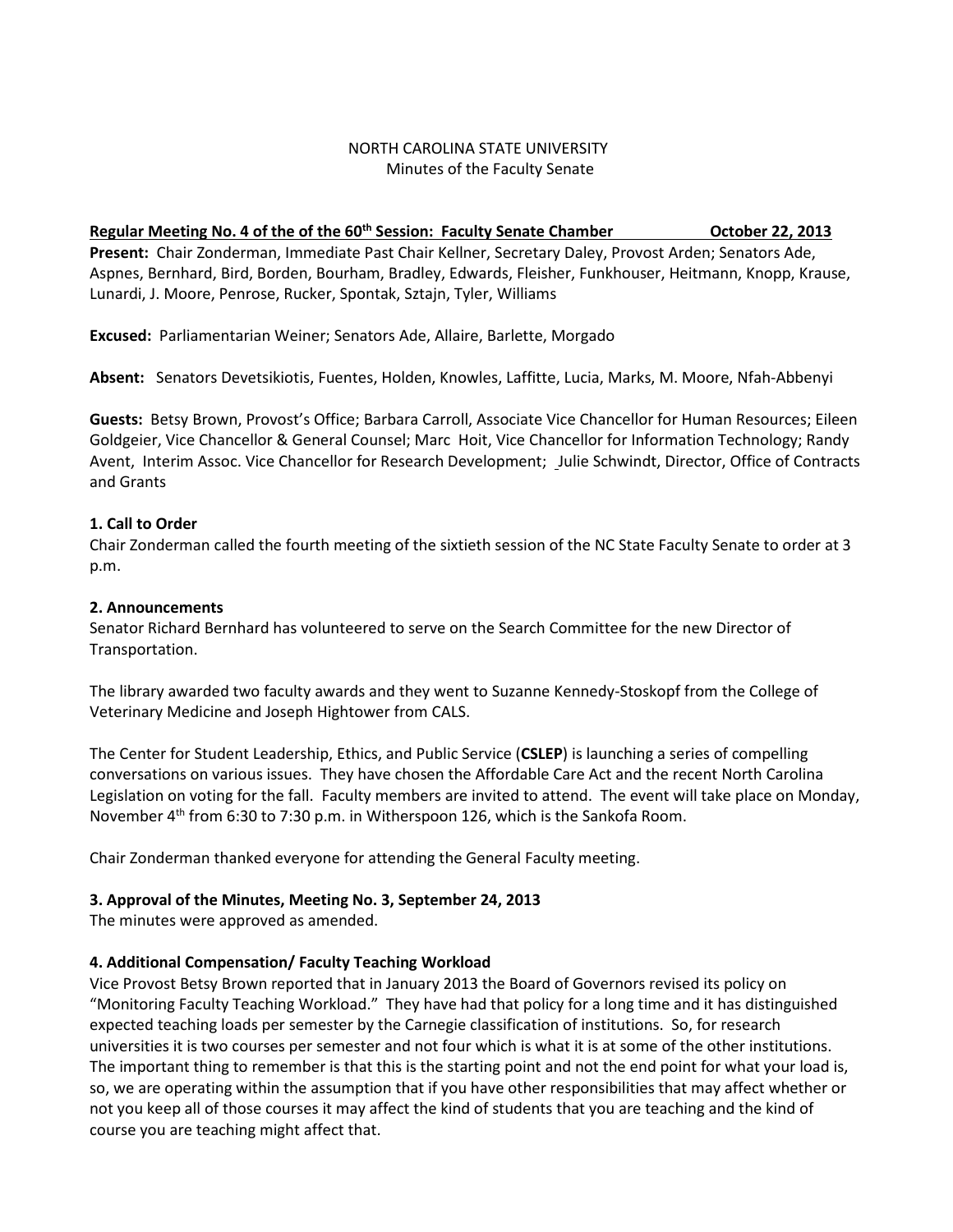## NORTH CAROLINA STATE UNIVERSITY Minutes of the Faculty Senate

## Regular Meeting No. 4 of the of the 60<sup>th</sup> Session: Faculty Senate Chamber **Canadian Company Continuity** October 22, 2013

**Present:** Chair Zonderman, Immediate Past Chair Kellner, Secretary Daley, Provost Arden; Senators Ade, Aspnes, Bernhard, Bird, Borden, Bourham, Bradley, Edwards, Fleisher, Funkhouser, Heitmann, Knopp, Krause, Lunardi, J. Moore, Penrose, Rucker, Spontak, Sztajn, Tyler, Williams

**Excused:** Parliamentarian Weiner; Senators Ade, Allaire, Barlette, Morgado

**Absent:** Senators Devetsikiotis, Fuentes, Holden, Knowles, Laffitte, Lucia, Marks, M. Moore, Nfah-Abbenyi

**Guests:** Betsy Brown, Provost's Office; Barbara Carroll, Associate Vice Chancellor for Human Resources; Eileen Goldgeier, Vice Chancellor & General Counsel; Marc Hoit, Vice Chancellor for Information Technology; Randy Avent, Interim Assoc. Vice Chancellor for Research Development; Julie Schwindt, Director, Office of Contracts and Grants

# **1. Call to Order**

Chair Zonderman called the fourth meeting of the sixtieth session of the NC State Faculty Senate to order at 3 p.m.

# **2. Announcements**

Senator Richard Bernhard has volunteered to serve on the Search Committee for the new Director of Transportation.

The library awarded two faculty awards and they went to Suzanne Kennedy-Stoskopf from the College of Veterinary Medicine and Joseph Hightower from CALS.

The Center for Student Leadership, Ethics, and Public Service (**CSLEP**) is launching a series of compelling conversations on various issues. They have chosen the Affordable Care Act and the recent North Carolina Legislation on voting for the fall. Faculty members are invited to attend. The event will take place on Monday, November 4<sup>th</sup> from 6:30 to 7:30 p.m. in Witherspoon 126, which is the Sankofa Room.

Chair Zonderman thanked everyone for attending the General Faculty meeting.

# **3. Approval of the Minutes, Meeting No. 3, September 24, 2013**

The minutes were approved as amended.

# **4. Additional Compensation/ Faculty Teaching Workload**

Vice Provost Betsy Brown reported that in January 2013 the Board of Governors revised its policy on "Monitoring Faculty Teaching Workload." They have had that policy for a long time and it has distinguished expected teaching loads per semester by the Carnegie classification of institutions. So, for research universities it is two courses per semester and not four which is what it is at some of the other institutions. The important thing to remember is that this is the starting point and not the end point for what your load is, so, we are operating within the assumption that if you have other responsibilities that may affect whether or not you keep all of those courses it may affect the kind of students that you are teaching and the kind of course you are teaching might affect that.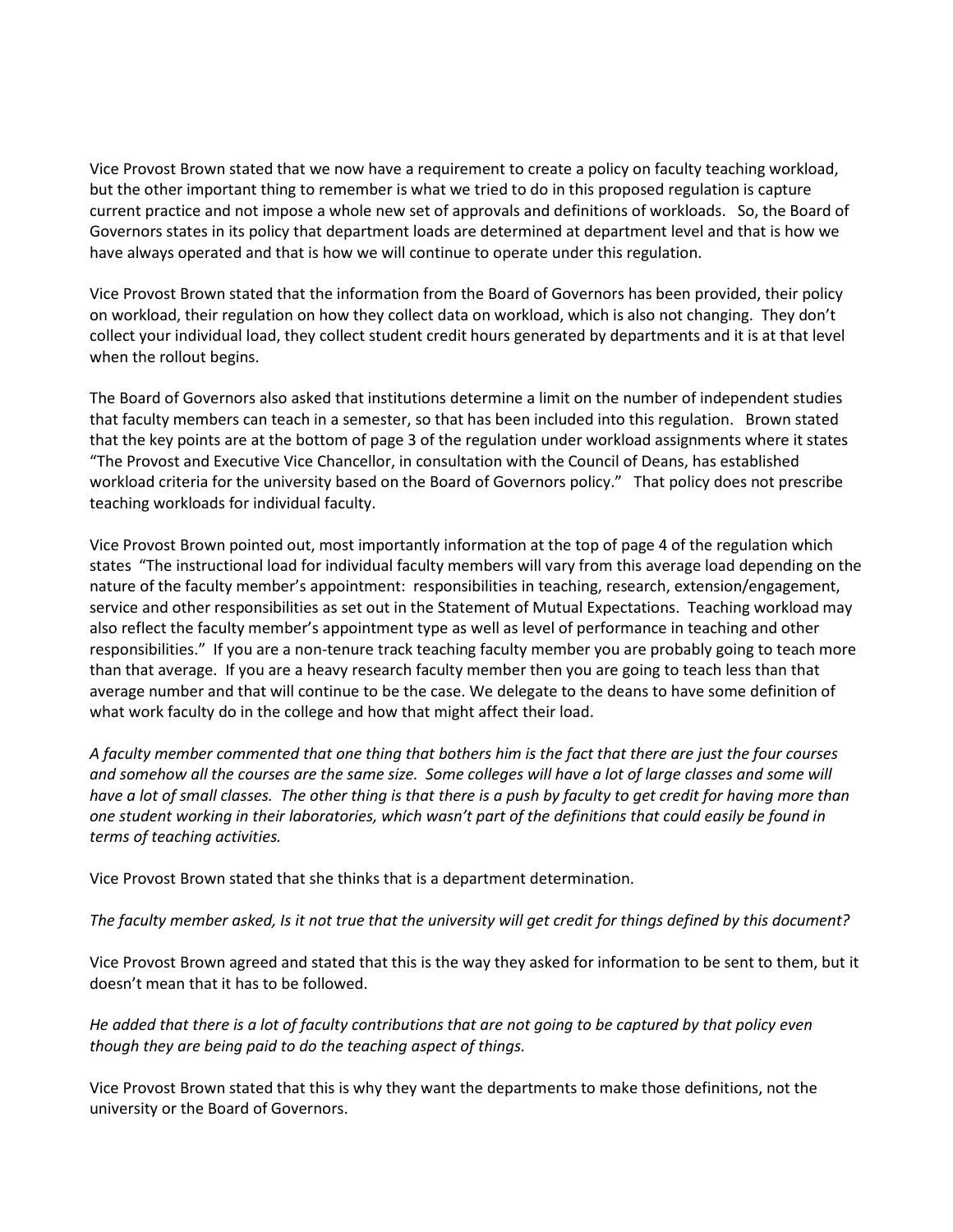Vice Provost Brown stated that we now have a requirement to create a policy on faculty teaching workload, but the other important thing to remember is what we tried to do in this proposed regulation is capture current practice and not impose a whole new set of approvals and definitions of workloads. So, the Board of Governors states in its policy that department loads are determined at department level and that is how we have always operated and that is how we will continue to operate under this regulation.

Vice Provost Brown stated that the information from the Board of Governors has been provided, their policy on workload, their regulation on how they collect data on workload, which is also not changing. They don't collect your individual load, they collect student credit hours generated by departments and it is at that level when the rollout begins.

The Board of Governors also asked that institutions determine a limit on the number of independent studies that faculty members can teach in a semester, so that has been included into this regulation. Brown stated that the key points are at the bottom of page 3 of the regulation under workload assignments where it states "The Provost and Executive Vice Chancellor, in consultation with the Council of Deans, has established workload criteria for the university based on the Board of Governors policy." That policy does not prescribe teaching workloads for individual faculty.

Vice Provost Brown pointed out, most importantly information at the top of page 4 of the regulation which states "The instructional load for individual faculty members will vary from this average load depending on the nature of the faculty member's appointment: responsibilities in teaching, research, extension/engagement, service and other responsibilities as set out in the Statement of Mutual Expectations. Teaching workload may also reflect the faculty member's appointment type as well as level of performance in teaching and other responsibilities." If you are a non-tenure track teaching faculty member you are probably going to teach more than that average. If you are a heavy research faculty member then you are going to teach less than that average number and that will continue to be the case. We delegate to the deans to have some definition of what work faculty do in the college and how that might affect their load.

*A faculty member commented that one thing that bothers him is the fact that there are just the four courses and somehow all the courses are the same size. Some colleges will have a lot of large classes and some will have a lot of small classes. The other thing is that there is a push by faculty to get credit for having more than one student working in their laboratories, which wasn't part of the definitions that could easily be found in terms of teaching activities.* 

Vice Provost Brown stated that she thinks that is a department determination.

*The faculty member asked, Is it not true that the university will get credit for things defined by this document?*

Vice Provost Brown agreed and stated that this is the way they asked for information to be sent to them, but it doesn't mean that it has to be followed.

*He added that there is a lot of faculty contributions that are not going to be captured by that policy even though they are being paid to do the teaching aspect of things.* 

Vice Provost Brown stated that this is why they want the departments to make those definitions, not the university or the Board of Governors.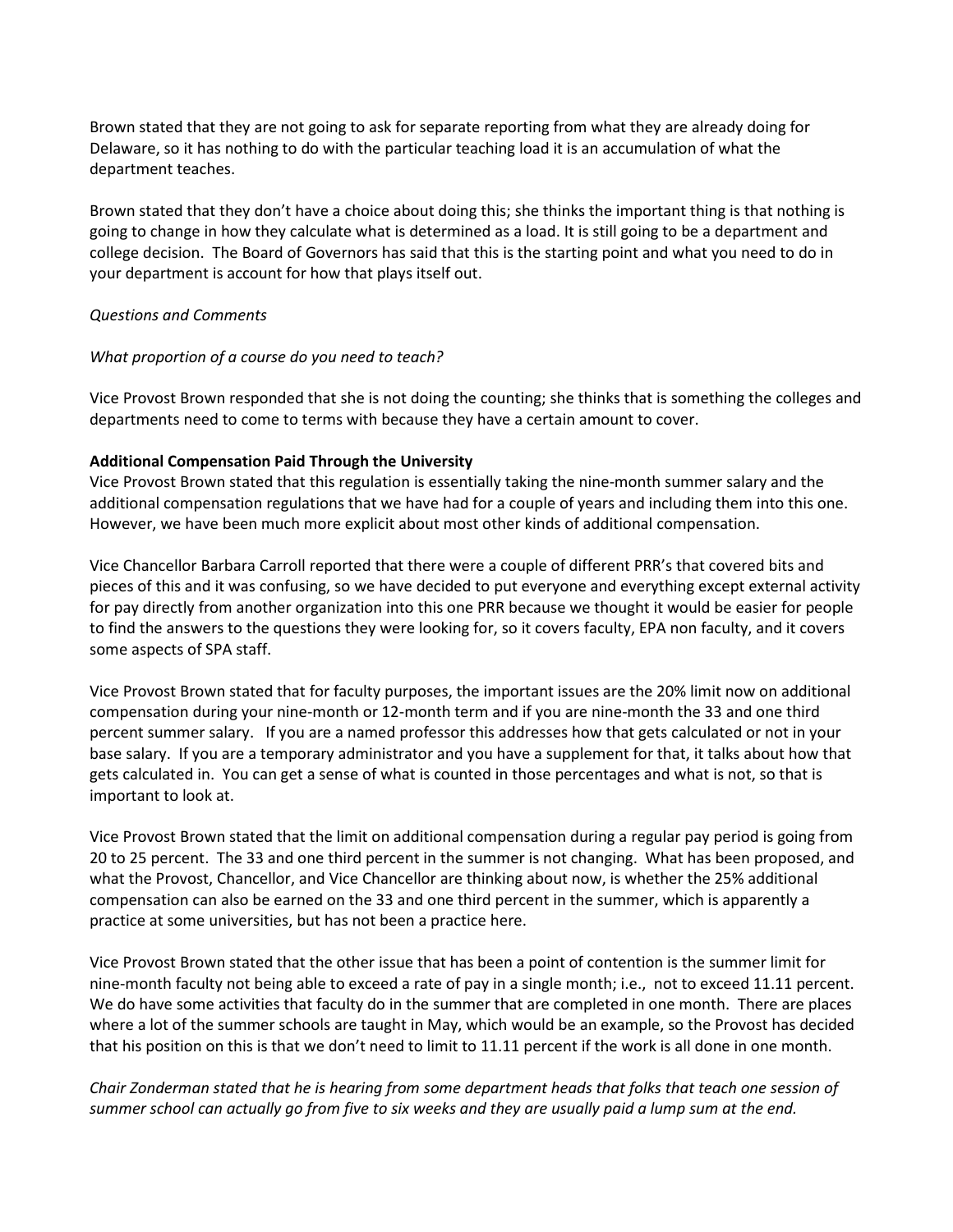Brown stated that they are not going to ask for separate reporting from what they are already doing for Delaware, so it has nothing to do with the particular teaching load it is an accumulation of what the department teaches.

Brown stated that they don't have a choice about doing this; she thinks the important thing is that nothing is going to change in how they calculate what is determined as a load. It is still going to be a department and college decision. The Board of Governors has said that this is the starting point and what you need to do in your department is account for how that plays itself out.

#### *Questions and Comments*

### *What proportion of a course do you need to teach?*

Vice Provost Brown responded that she is not doing the counting; she thinks that is something the colleges and departments need to come to terms with because they have a certain amount to cover.

### **Additional Compensation Paid Through the University**

Vice Provost Brown stated that this regulation is essentially taking the nine-month summer salary and the additional compensation regulations that we have had for a couple of years and including them into this one. However, we have been much more explicit about most other kinds of additional compensation.

Vice Chancellor Barbara Carroll reported that there were a couple of different PRR's that covered bits and pieces of this and it was confusing, so we have decided to put everyone and everything except external activity for pay directly from another organization into this one PRR because we thought it would be easier for people to find the answers to the questions they were looking for, so it covers faculty, EPA non faculty, and it covers some aspects of SPA staff.

Vice Provost Brown stated that for faculty purposes, the important issues are the 20% limit now on additional compensation during your nine-month or 12-month term and if you are nine-month the 33 and one third percent summer salary. If you are a named professor this addresses how that gets calculated or not in your base salary. If you are a temporary administrator and you have a supplement for that, it talks about how that gets calculated in. You can get a sense of what is counted in those percentages and what is not, so that is important to look at.

Vice Provost Brown stated that the limit on additional compensation during a regular pay period is going from 20 to 25 percent. The 33 and one third percent in the summer is not changing. What has been proposed, and what the Provost, Chancellor, and Vice Chancellor are thinking about now, is whether the 25% additional compensation can also be earned on the 33 and one third percent in the summer, which is apparently a practice at some universities, but has not been a practice here.

Vice Provost Brown stated that the other issue that has been a point of contention is the summer limit for nine-month faculty not being able to exceed a rate of pay in a single month; i.e., not to exceed 11.11 percent. We do have some activities that faculty do in the summer that are completed in one month. There are places where a lot of the summer schools are taught in May, which would be an example, so the Provost has decided that his position on this is that we don't need to limit to 11.11 percent if the work is all done in one month.

*Chair Zonderman stated that he is hearing from some department heads that folks that teach one session of summer school can actually go from five to six weeks and they are usually paid a lump sum at the end.*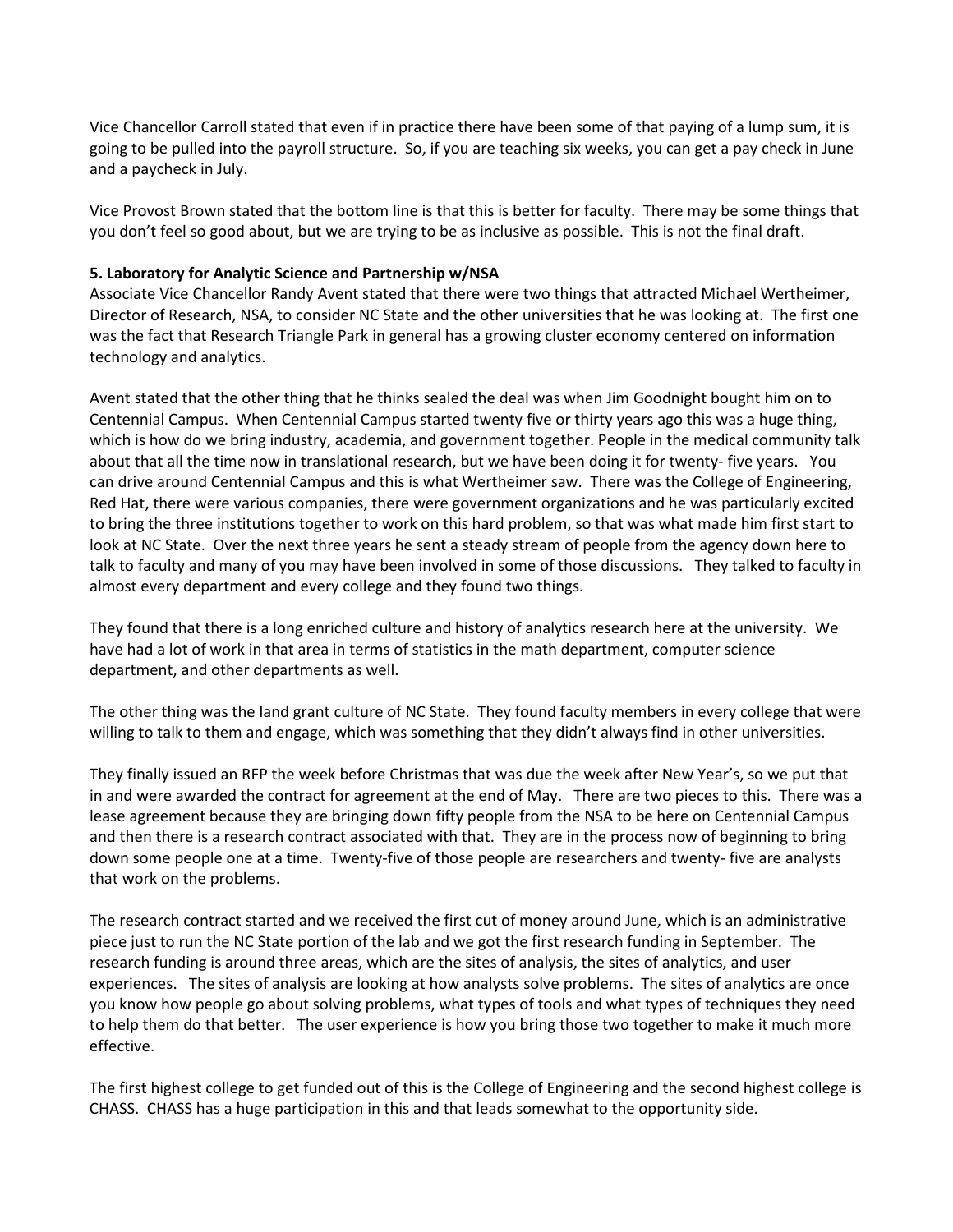Vice Chancellor Carroll stated that even if in practice there have been some of that paying of a lump sum, it is going to be pulled into the payroll structure. So, if you are teaching six weeks, you can get a pay check in June and a paycheck in July.

Vice Provost Brown stated that the bottom line is that this is better for faculty. There may be some things that you don't feel so good about, but we are trying to be as inclusive as possible. This is not the final draft.

### **5. Laboratory for Analytic Science and Partnership w/NSA**

Associate Vice Chancellor Randy Avent stated that there were two things that attracted Michael Wertheimer, Director of Research, NSA, to consider NC State and the other universities that he was looking at. The first one was the fact that Research Triangle Park in general has a growing cluster economy centered on information technology and analytics.

Avent stated that the other thing that he thinks sealed the deal was when Jim Goodnight bought him on to Centennial Campus. When Centennial Campus started twenty five or thirty years ago this was a huge thing, which is how do we bring industry, academia, and government together. People in the medical community talk about that all the time now in translational research, but we have been doing it for twenty- five years. You can drive around Centennial Campus and this is what Wertheimer saw. There was the College of Engineering, Red Hat, there were various companies, there were government organizations and he was particularly excited to bring the three institutions together to work on this hard problem, so that was what made him first start to look at NC State. Over the next three years he sent a steady stream of people from the agency down here to talk to faculty and many of you may have been involved in some of those discussions. They talked to faculty in almost every department and every college and they found two things.

They found that there is a long enriched culture and history of analytics research here at the university. We have had a lot of work in that area in terms of statistics in the math department, computer science department, and other departments as well.

The other thing was the land grant culture of NC State. They found faculty members in every college that were willing to talk to them and engage, which was something that they didn't always find in other universities.

They finally issued an RFP the week before Christmas that was due the week after New Year's, so we put that in and were awarded the contract for agreement at the end of May. There are two pieces to this. There was a lease agreement because they are bringing down fifty people from the NSA to be here on Centennial Campus and then there is a research contract associated with that. They are in the process now of beginning to bring down some people one at a time. Twenty-five of those people are researchers and twenty- five are analysts that work on the problems.

The research contract started and we received the first cut of money around June, which is an administrative piece just to run the NC State portion of the lab and we got the first research funding in September. The research funding is around three areas, which are the sites of analysis, the sites of analytics, and user experiences. The sites of analysis are looking at how analysts solve problems. The sites of analytics are once you know how people go about solving problems, what types of tools and what types of techniques they need to help them do that better. The user experience is how you bring those two together to make it much more effective.

The first highest college to get funded out of this is the College of Engineering and the second highest college is CHASS. CHASS has a huge participation in this and that leads somewhat to the opportunity side.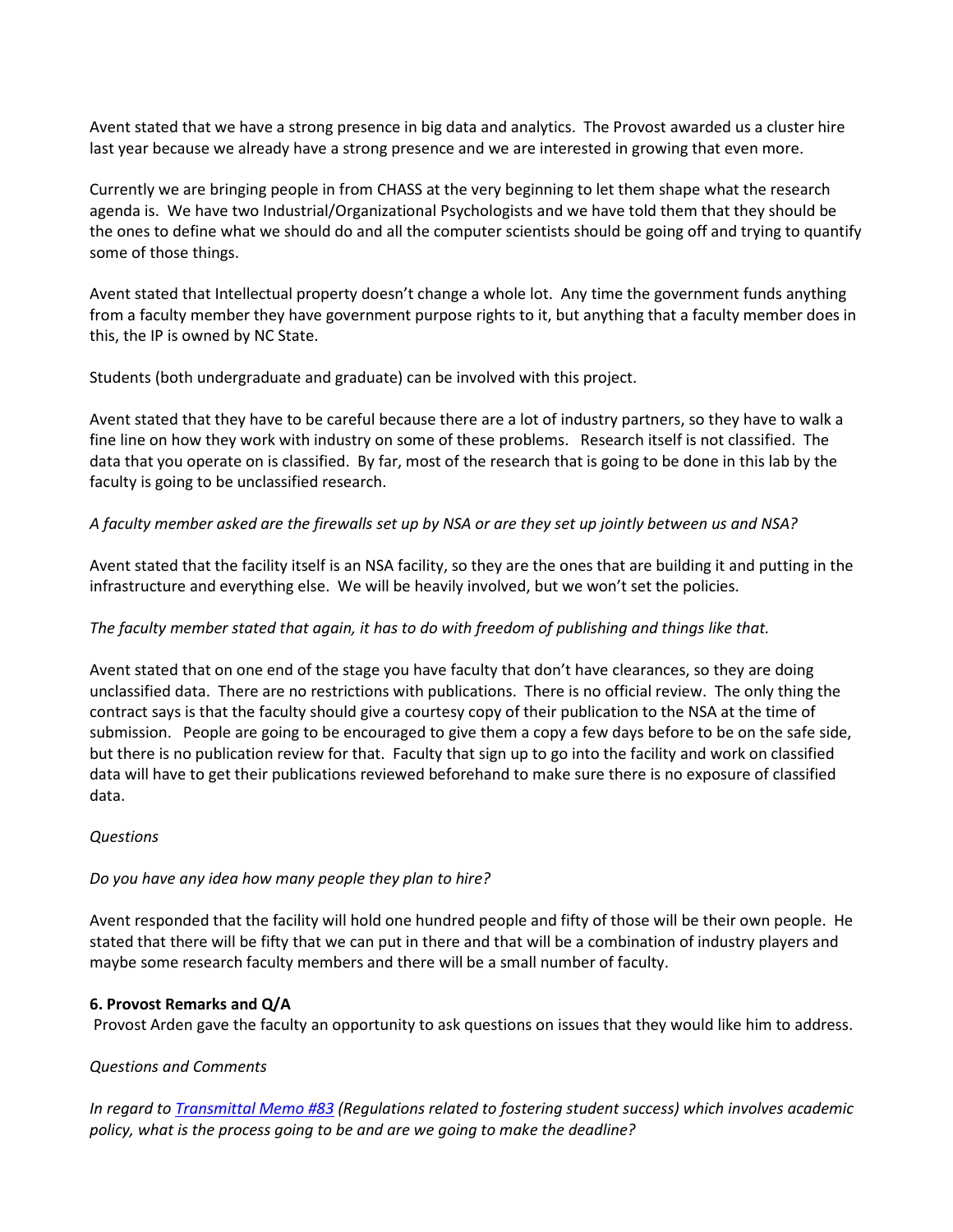Avent stated that we have a strong presence in big data and analytics. The Provost awarded us a cluster hire last year because we already have a strong presence and we are interested in growing that even more.

Currently we are bringing people in from CHASS at the very beginning to let them shape what the research agenda is. We have two Industrial/Organizational Psychologists and we have told them that they should be the ones to define what we should do and all the computer scientists should be going off and trying to quantify some of those things.

Avent stated that Intellectual property doesn't change a whole lot. Any time the government funds anything from a faculty member they have government purpose rights to it, but anything that a faculty member does in this, the IP is owned by NC State.

Students (both undergraduate and graduate) can be involved with this project.

Avent stated that they have to be careful because there are a lot of industry partners, so they have to walk a fine line on how they work with industry on some of these problems. Research itself is not classified. The data that you operate on is classified. By far, most of the research that is going to be done in this lab by the faculty is going to be unclassified research.

# *A faculty member asked are the firewalls set up by NSA or are they set up jointly between us and NSA?*

Avent stated that the facility itself is an NSA facility, so they are the ones that are building it and putting in the infrastructure and everything else. We will be heavily involved, but we won't set the policies.

## *The faculty member stated that again, it has to do with freedom of publishing and things like that.*

Avent stated that on one end of the stage you have faculty that don't have clearances, so they are doing unclassified data. There are no restrictions with publications. There is no official review. The only thing the contract says is that the faculty should give a courtesy copy of their publication to the NSA at the time of submission. People are going to be encouraged to give them a copy a few days before to be on the safe side, but there is no publication review for that. Faculty that sign up to go into the facility and work on classified data will have to get their publications reviewed beforehand to make sure there is no exposure of classified data.

## *Questions*

## *Do you have any idea how many people they plan to hire?*

Avent responded that the facility will hold one hundred people and fifty of those will be their own people. He stated that there will be fifty that we can put in there and that will be a combination of industry players and maybe some research faculty members and there will be a small number of faculty.

## **6. Provost Remarks and Q/A**

Provost Arden gave the faculty an opportunity to ask questions on issues that they would like him to address.

## *Questions and Comments*

*In regard t[o Transmittal Memo #83](http://www.northcarolina.edu/policy/index.php?pg=dl&id=s14946&inline=1&return_url=%2Fpolicy%2Findex.php%3Fpg%3Dtoc%26id%3D) (Regulations related to fostering student success) which involves academic policy, what is the process going to be and are we going to make the deadline?*